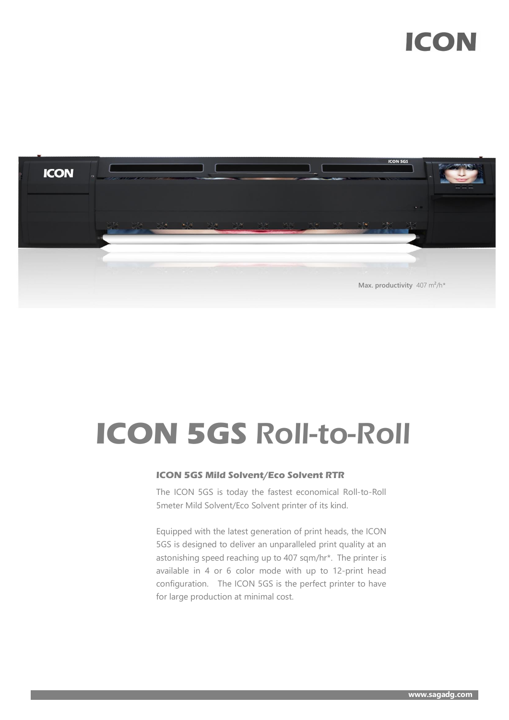## **ICON**



# **ICON 5GS** Roll-to-Roll

#### **ICON 5GS Mild Solvent/Eco Solvent RTR**

The ICON 5GS is today the fastest economical Roll-to-Roll 5meter Mild Solvent/Eco Solvent printer of its kind.

Equipped with the latest generation of print heads, the ICON 5GS is designed to deliver an unparalleled print quality at an astonishing speed reaching up to 407 sqm/hr\*. The printer is available in 4 or 6 color mode with up to 12-print head configuration. The ICON 5GS is the perfect printer to have for large production at minimal cost.